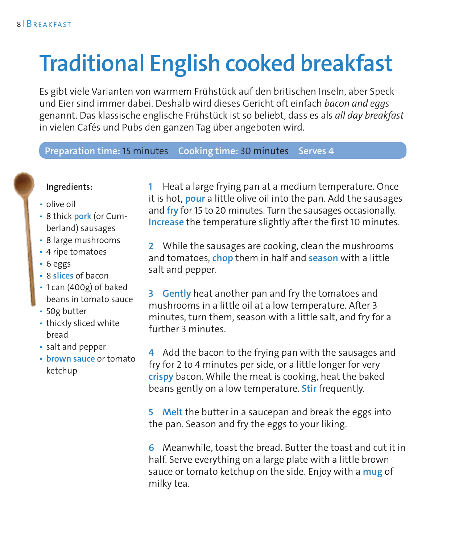# **Traditional English cooked breakfast**

Es gibt viele Varianten von warmem Frühstück auf den britischen Inseln, aber Speck und Eier sind immer dabei. Deshalb wird dieses Gericht oft einfach *bacon and eggs* genannt. Das klassische englische Frühstück ist so beliebt, dass es als *all day breakfast* in vielen Cafés und Pubs den ganzen Tag über angeboten wird.

#### **Preparation time:** 15 minutes **Cooking time:** 30 minutes **Serves 4**

#### **Ingredients:**

- olive oil
- 8 thick **pork** (or Cumberland) sausages
- 8 large mushrooms
- 4 ripe tomatoes
- 6 eggs
- 8 **slices** of bacon
- 1 can (400g) of baked beans in tomato sauce
- 50g butter
- thickly sliced white bread
- salt and pepper
- **brown sauce** or tomato ketchup

**1** Heat a large frying pan at a medium temperature. Once it is hot, **pour** a little olive oil into the pan. Add the sausages and **fry** for 15 to 20 minutes. Turn the sausages occasionally. **Increase** the temperature slightly after the first 10 minutes.

**2** While the sausages are cooking, clean the mushrooms and tomatoes, **chop** them in half and **season** with a little salt and pepper.

**3 Gently** heat another pan and fry the tomatoes and mushrooms in a little oil at a low temperature. After 3 minutes, turn them, season with a little salt, and fry for a further 3 minutes.

**4** Add the bacon to the frying pan with the sausages and fry for 2 to 4 minutes per side, or a little longer for very **crispy** bacon. While the meat is cooking, heat the baked beans gently on a low temperature. **Stir** frequently.

**5 Melt** the butter in a saucepan and break the eggs into the pan. Season and fry the eggs to your liking.

**6** Meanwhile, toast the bread. Butter the toast and cut it in half. Serve everything on a large plate with a little brown sauce or tomato ketchup on the side. Enjoy with a **mug** of milky tea.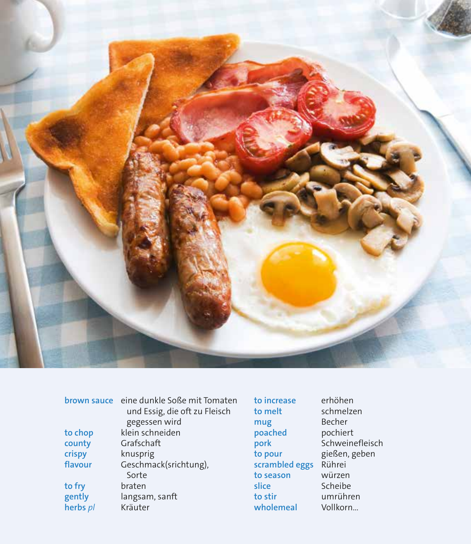

|          | brown sauce eine dunkle Soße mit Tomaten<br>und Essig, die oft zu Fleisch<br>gegessen wird |
|----------|--------------------------------------------------------------------------------------------|
| to chop  | klein schneiden                                                                            |
| county   | Grafschaft                                                                                 |
| crispy   | knusprig                                                                                   |
| flavour  | Geschmack(srichtung),                                                                      |
|          | Sorte                                                                                      |
| to fry   | braten                                                                                     |
| gently   | langsam, sanft                                                                             |
| herbs pl | Kräuter                                                                                    |

to increase to melt mug poached .<br>pork to pour scrambled eggs Rührei to season slice to stir wholemeal

erhöhen schmelzen Becher pochiert schweinefleisch gießen, geben würzen Scheibe umrühren Vollkorn...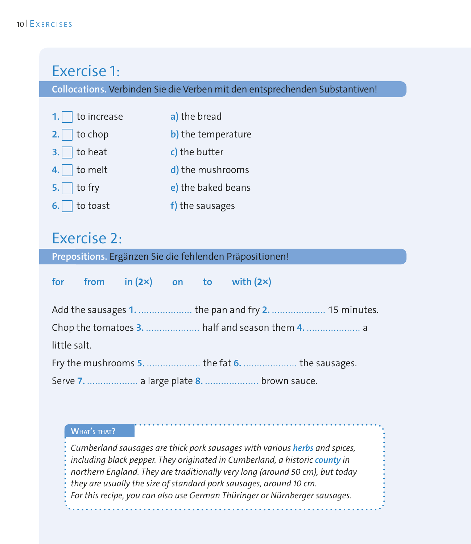## Exercise 1:

**Collocations.** Verbinden Sie die Verben mit den entsprechenden Substantiven!

| 1. $\Box$ to increase | a) the bread       |
|-----------------------|--------------------|
| 2. $\Box$ to chop     | b) the temperature |
| $3.$ to heat          | c) the butter      |
| 4. $\Box$ to melt     | d) the mushrooms   |
| $5.$ to fry           | e) the baked beans |
| $6.$ to toast         | f) the sausages    |

## Exercise 2:

**Prepositions.** Ergänzen Sie die fehlenden Präpositionen!

|              |  |  | for from $in (2x)$ on to with $(2x)$     |                                                      |
|--------------|--|--|------------------------------------------|------------------------------------------------------|
|              |  |  |                                          | Add the sausages 1.  the pan and fry 2.  15 minutes. |
|              |  |  |                                          |                                                      |
| little salt. |  |  |                                          |                                                      |
|              |  |  |                                          | Fry the mushrooms 5.  the fat 6.  the sausages.      |
|              |  |  | Serve 7.  a large plate 8.  brown sauce. |                                                      |

#### **What's that?**

*Cumberland sausages are thick pork sausages with various herbs and spices, including black pepper. They originated in Cumberland, a historic county in northern England. They are traditionally very long (around 50 cm), but today they are usually the size of standard pork sausages, around 10 cm. For this recipe, you can also use German Thüringer or Nürnberger sausages.*